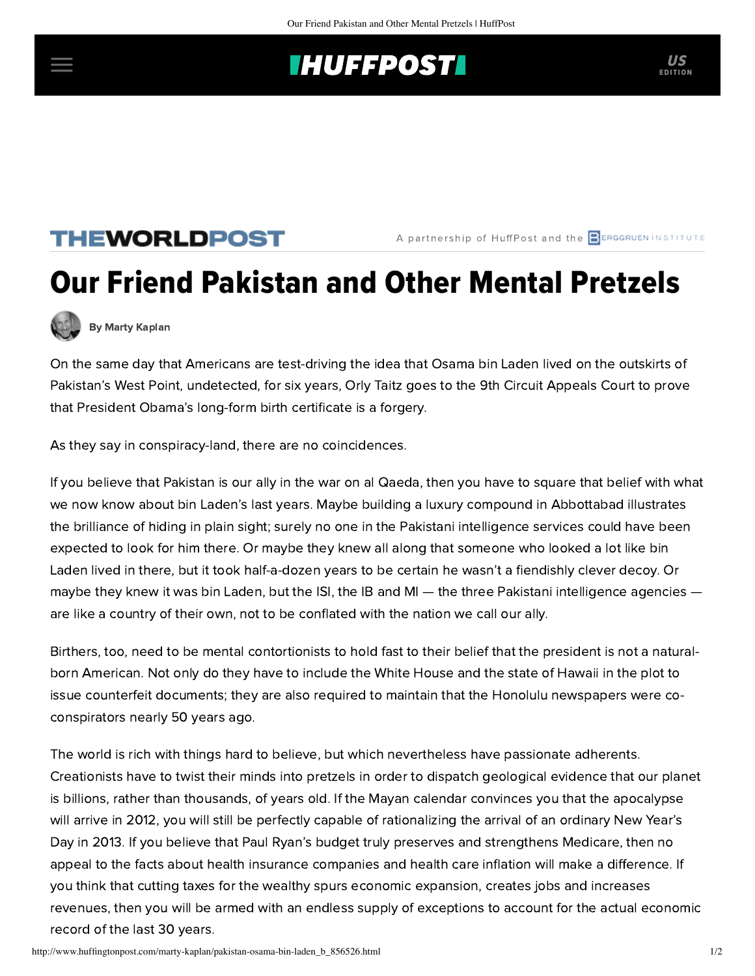## **INUFFPOST**

## **THEWORLDPOST**

A partnership of HuffPost and the **BERGGRUEN INSTITUTE** 

# Our Friend Pakistan and Other Mental Pretzels



[By Marty Kaplan](http://www.huffingtonpost.com/author/marty-kaplan)

On the same day that Americans are test-driving the idea that Osama bin Laden lived on the outskirts of Pakistan's West Point, undetected, for six years, [Orly Taitz](http://www.sandiego6.com/news/local/story/Two-San-Diego-County-Attorneys-Continue-Court/WO8Bj3CuBUexvY4UUU7IHg.cspx) goes to the 9th Circuit Appeals Court to prove that President Obama's long-form birth certificate is a forgery.

As they say in conspiracy-land, there are no coincidences.

If you believe that Pakistan is our ally in the war on al Qaeda, then you have to square that belief with what we now know about bin Laden's last years. Maybe building a luxury compound in Abbottabad illustrates the brilliance of hiding in plain sight; surely no one in the Pakistani intelligence services could have been expected to look for him there. Or maybe they knew all along that someone who looked a lot like bin Laden lived in there, but it took half-a-dozen years to be certain he wasn't a fiendishly clever decoy. Or maybe they knew it was bin Laden, but the ISI, the IB and MI — the three Pakistani intelligence agencies are like a country of their own, not to be conflated with the nation we call our ally.

Birthers, too, need to be mental contortionists to hold fast to their belief that the president is not a naturalborn American. Not only do they have to include the White House and the state of Hawaii in the plot to issue counterfeit documents; they are also required to maintain that the Honolulu newspapers were coconspirators nearly 50 years ago.

The world is rich with things hard to believe, but which nevertheless have passionate adherents. Creationists have to twist their minds into pretzels in order to dispatch geological evidence that our planet is billions, rather than thousands, of years old. If the Mayan calendar convinces you that the apocalypse will arrive in 2012, you will still be perfectly capable of rationalizing the arrival of an ordinary New Year's Day in 2013. If you believe that Paul Ryan's budget truly preserves and strengthens Medicare, then no appeal to the facts about health insurance companies and health care inflation will make a difference. If you think that cutting taxes for the wealthy spurs economic expansion, creates jobs and increases revenues, then you will be armed with an endless supply of exceptions to account for the actual economic record of the last 30 years.